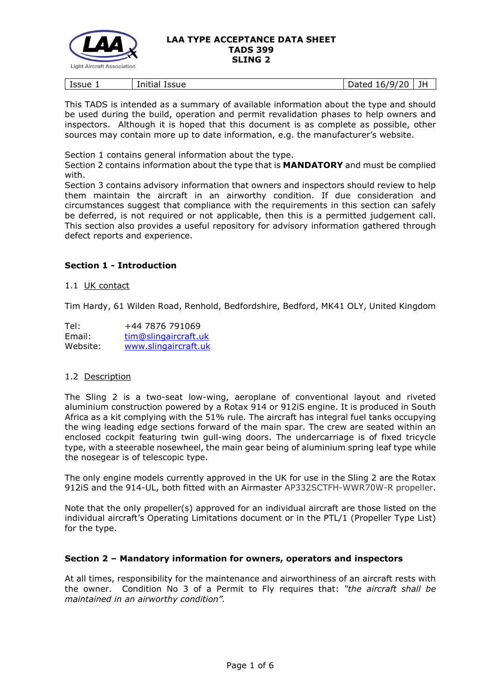

| Issue | $\overline{\phantom{a}}$<br>.<br>Initial<br><b>Issue</b> | $+ \circ \circ$<br>6/<br>$\mathbf{y}_I$<br>יי<br>aucu<br>-- | JH |
|-------|----------------------------------------------------------|-------------------------------------------------------------|----|
|       |                                                          |                                                             |    |

This TADS is intended as a summary of available information about the type and should be used during the build, operation and permit revalidation phases to help owners and inspectors. Although it is hoped that this document is as complete as possible, other sources may contain more up to date information, e.g. the manufacturer's website.

Section 1 contains general information about the type.

Section 2 contains information about the type that is **MANDATORY** and must be complied with.

Section 3 contains advisory information that owners and inspectors should review to help them maintain the aircraft in an airworthy condition. If due consideration and circumstances suggest that compliance with the requirements in this section can safely be deferred, is not required or not applicable, then this is a permitted judgement call. This section also provides a useful repository for advisory information gathered through defect reports and experience.

# **Section 1 - Introduction**

### 1.1 UK contact

Tim Hardy, 61 Wilden Road, Renhold, Bedfordshire, Bedford, MK41 OLY, United Kingdom

| Tel:     | +44 7876 791069      |
|----------|----------------------|
| Email:   | tim@slingaircraft.uk |
| Website: | www.slingaircraft.uk |

# 1.2 Description

The Sling 2 is a two-seat low-wing, aeroplane of conventional layout and riveted aluminium construction powered by a Rotax 914 or 912iS engine. It is produced in South Africa as a kit complying with the 51% rule. The aircraft has integral fuel tanks occupying the wing leading edge sections forward of the main spar. The crew are seated within an enclosed cockpit featuring twin gull-wing doors. The undercarriage is of fixed tricycle type, with a steerable nosewheel, the main gear being of aluminium spring leaf type while the nosegear is of telescopic type.

The only engine models currently approved in the UK for use in the Sling 2 are the Rotax 912iS and the 914-UL, both fitted with an Airmaster AP332SCTFH-WWR70W-R propeller.

Note that the only propeller(s) approved for an individual aircraft are those listed on the individual aircraft's Operating Limitations document or in the PTL/1 (Propeller Type List) for the type.

# **Section 2 – Mandatory information for owners, operators and inspectors**

At all times, responsibility for the maintenance and airworthiness of an aircraft rests with the owner. Condition No 3 of a Permit to Fly requires that: *"the aircraft shall be maintained in an airworthy condition".*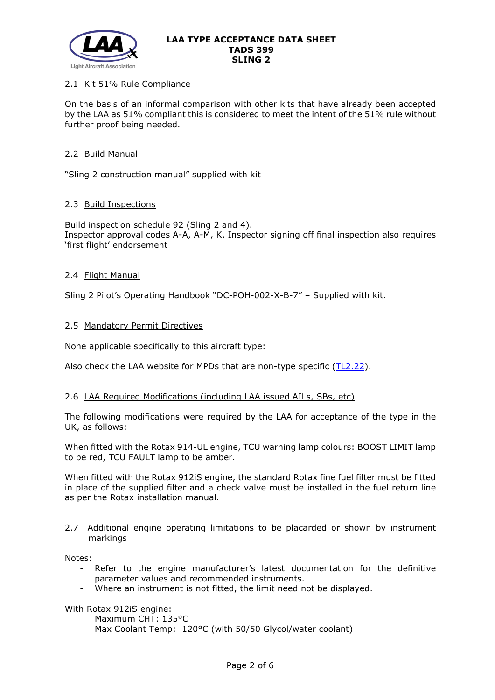

# 2.1 Kit 51% Rule Compliance

On the basis of an informal comparison with other kits that have already been accepted by the LAA as 51% compliant this is considered to meet the intent of the 51% rule without further proof being needed.

### 2.2 Build Manual

"Sling 2 construction manual" supplied with kit

### 2.3 Build Inspections

Build inspection schedule 92 (Sling 2 and 4). Inspector approval codes A-A, A-M, K. Inspector signing off final inspection also requires 'first flight' endorsement

### 2.4 Flight Manual

Sling 2 Pilot's Operating Handbook "DC-POH-002-X-B-7" – Supplied with kit.

### 2.5 Mandatory Permit Directives

None applicable specifically to this aircraft type:

Also check the LAA website for MPDs that are non-type specific  $(TL2.22)$ .

#### 2.6 LAA Required Modifications (including LAA issued AILs, SBs, etc)

The following modifications were required by the LAA for acceptance of the type in the UK, as follows:

When fitted with the Rotax 914-UL engine, TCU warning lamp colours: BOOST LIMIT lamp to be red, TCU FAULT lamp to be amber.

When fitted with the Rotax 912iS engine, the standard Rotax fine fuel filter must be fitted in place of the supplied filter and a check valve must be installed in the fuel return line as per the Rotax installation manual.

### 2.7 Additional engine operating limitations to be placarded or shown by instrument markings

Notes:

- Refer to the engine manufacturer's latest documentation for the definitive parameter values and recommended instruments.
- Where an instrument is not fitted, the limit need not be displayed.

With Rotax 912iS engine:

Maximum CHT: 135°C Max Coolant Temp: 120°C (with 50/50 Glycol/water coolant)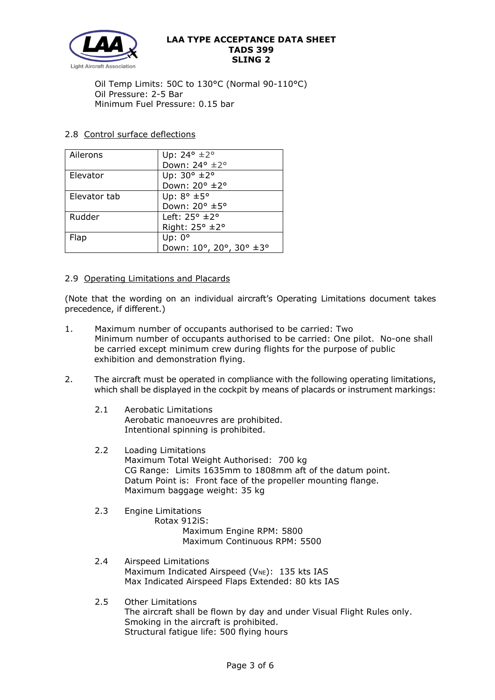

Oil Temp Limits: 50C to 130°C (Normal 90-110°C) Oil Pressure: 2-5 Bar Minimum Fuel Pressure: 0.15 bar

# 2.8 Control surface deflections

| Ailerons     | Up: $24^{\circ}$ ±2°         |
|--------------|------------------------------|
|              | Down: 24° ±2°                |
| Elevator     | Up: $30^\circ \pm 2^\circ$   |
|              | Down: 20° ±2°                |
| Elevator tab | Up: $8^\circ \pm 5^\circ$    |
|              | Down: 20° ±5°                |
| Rudder       | Left: $25^\circ \pm 2^\circ$ |
|              | Right: 25° ±2°               |
| Flap         | Up: $0^{\circ}$              |
|              | Down: 10°, 20°, 30° ±3°      |

# 2.9 Operating Limitations and Placards

(Note that the wording on an individual aircraft's Operating Limitations document takes precedence, if different.)

- 1. Maximum number of occupants authorised to be carried: Two Minimum number of occupants authorised to be carried: One pilot. No-one shall be carried except minimum crew during flights for the purpose of public exhibition and demonstration flying.
- 2. The aircraft must be operated in compliance with the following operating limitations, which shall be displayed in the cockpit by means of placards or instrument markings:
	- 2.1 Aerobatic Limitations Aerobatic manoeuvres are prohibited. Intentional spinning is prohibited.
	- 2.2 Loading Limitations Maximum Total Weight Authorised: 700 kg CG Range: Limits 1635mm to 1808mm aft of the datum point. Datum Point is: Front face of the propeller mounting flange. Maximum baggage weight: 35 kg

# 2.3 Engine Limitations

- Rotax 912iS: Maximum Engine RPM: 5800 Maximum Continuous RPM: 5500
- 2.4 Airspeed Limitations Maximum Indicated Airspeed ( $V_{NE}$ ): 135 kts IAS Max Indicated Airspeed Flaps Extended: 80 kts IAS
- 2.5 Other Limitations The aircraft shall be flown by day and under Visual Flight Rules only. Smoking in the aircraft is prohibited. Structural fatigue life: 500 flying hours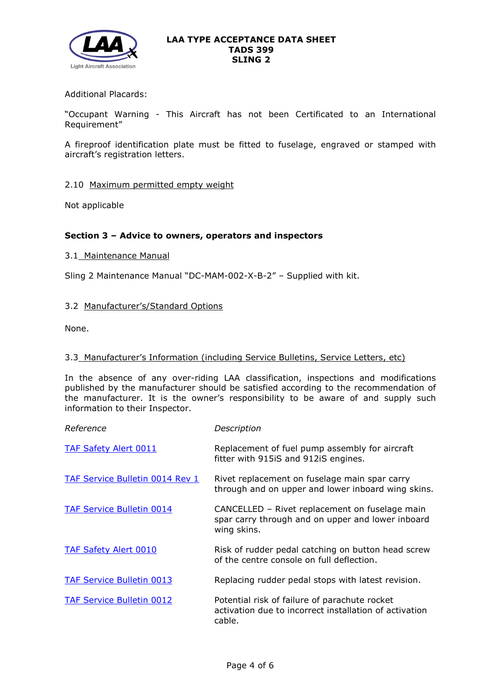

# Additional Placards:

"Occupant Warning - This Aircraft has not been Certificated to an International Requirement"

A fireproof identification plate must be fitted to fuselage, engraved or stamped with aircraft's registration letters.

### 2.10 Maximum permitted empty weight

Not applicable

# **Section 3 – Advice to owners, operators and inspectors**

### 3.1 Maintenance Manual

Sling 2 Maintenance Manual "DC-MAM-002-X-B-2" – Supplied with kit.

# 3.2 Manufacturer's/Standard Options

None.

# 3.3 Manufacturer's Information (including Service Bulletins, Service Letters, etc)

In the absence of any over-riding LAA classification, inspections and modifications published by the manufacturer should be satisfied according to the recommendation of the manufacturer. It is the owner's responsibility to be aware of and supply such information to their Inspector.

| Reference                              | Description                                                                                                        |
|----------------------------------------|--------------------------------------------------------------------------------------------------------------------|
| <b>TAF Safety Alert 0011</b>           | Replacement of fuel pump assembly for aircraft<br>fitter with 915iS and 912iS engines.                             |
| <b>TAF Service Bulletin 0014 Rev 1</b> | Rivet replacement on fuselage main spar carry<br>through and on upper and lower inboard wing skins.                |
| <b>TAF Service Bulletin 0014</b>       | CANCELLED - Rivet replacement on fuselage main<br>spar carry through and on upper and lower inboard<br>wing skins. |
| <b>TAF Safety Alert 0010</b>           | Risk of rudder pedal catching on button head screw<br>of the centre console on full deflection.                    |
| <b>TAF Service Bulletin 0013</b>       | Replacing rudder pedal stops with latest revision.                                                                 |
| <b>TAF Service Bulletin 0012</b>       | Potential risk of failure of parachute rocket<br>activation due to incorrect installation of activation<br>cable.  |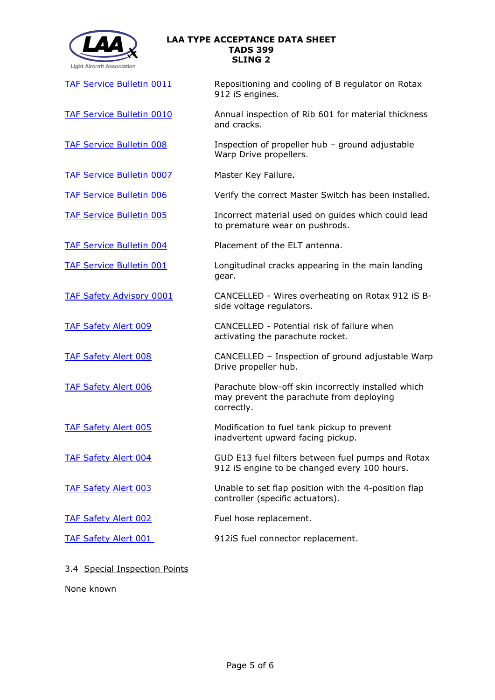

TAF Service [Bulletin 0011](http://www.lightaircraftassociation.co.uk/engineering/TADs/399/TAF-Service-Bulletin-0011-26072017-Regulator-Rectifier-for-Lane-B-on-912-IS-Engine.pdf) Repositioning and cooling of B regulator on Rotax 912 iS engines.

[TAF Service Bulletin 0010](http://www.lightaircraftassociation.co.uk/engineering/TADs/399/TAF-Service-Bulletin-0010-09022017-Annual-Inspection-Rib-601.pdf) Annual inspection of Rib 601 for material thickness and cracks.

[TAF Service Bulletin 008](http://www.lightaircraftassociation.co.uk/engineering/TADs/399/20161110%20-%20TAF%20Safety%20Bulletin%20008%20-%20Warp%20Drive%20Hub.pdf) Inspection of propeller hub – ground adjustable Warp Drive propellers.

[TAF Service Bulletin 0007](http://www.lightaircraftassociation.co.uk/engineering/TADs/399/TAF-Service-Bulletin-0007-912iS-Master-Switch.pdf) Master Key Failure.

[TAF Service Bulletin 006](http://www.lightaircraftassociation.co.uk/engineering/TADs/399/TAF_Service_Bulletin_006_-_20150820_-_Master_switch.pdf) Verify the correct Master Switch has been installed.

[TAF Service Bulletin 005](http://www.lightaircraftassociation.co.uk/engineering/TADs/399/TAF_Service_Bulletin_005_-_20150820_-_Polypropylene_Guides.pdf) Incorrect material used on guides which could lead to premature wear on pushrods.

[TAF Service Bulletin 004](https://lightaircraftassociation.sharepoint.com/sites/Engineering/Shared%20Documents/TADS/_In%20draft/399%20SLING%202/399/TAF_Service_Bulletin_004_-20150602_-_ELT_Antenna.pdf) Placement of the ELT antenna.

[TAF Service Bulletin 001](http://www.lightaircraftassociation.co.uk/engineering/TADs/399/TAF-Service-Bulletin-001-080414-Cracks-in-landing-gear.pdf) Longitudinal cracks appearing in the main landing gear.

[TAF Safety Advisory 0001](http://www.lightaircraftassociation.co.uk/engineering/TADs/399/TAF%20Safety%20Advisory%200001%20-%20111116-%20Volt%20Regulator%20wires-Cancelled.pdf) CANCELLED - Wires overheating on Rotax 912 iS Bside voltage regulators.

[TAF Safety Alert 009](http://www.lightaircraftassociation.co.uk/engineering/TADs/399/Safety-Alert-0009-Risk-of-failure-when-activating-the-parachute-rocket.pdf) CANCELLED - Potential risk of failure when activating the parachute rocket.

[TAF Safety Alert 008](http://www.lightaircraftassociation.co.uk/engineering/TADs/399/TAF%20Safety%20Alert%20008%20-101116-%20Warp%20Drive%20Hub-cancelled.pdf) CANCELLED – Inspection of ground adjustable Warp Drive propeller hub.

[TAF Safety Alert 006](http://www.lightaircraftassociation.co.uk/engineering/TADs/399/TAF_Safety_Alert_006_-_14052015_-_Balistic_Recover_System_Skin.pdf) Parachute blow-off skin incorrectly installed which may prevent the parachute from deploying correctly.

[TAF Safety Alert 005](http://www.lightaircraftassociation.co.uk/engineering/TADs/399/TAF-Safety-Alert-005-140314-Fuel-tank-pickup.pdf) Modification to fuel tank pickup to prevent inadvertent upward facing pickup.

[TAF Safety Alert 004](http://www.lightaircraftassociation.co.uk/engineering/TADs/399/TAF-Safety-Alert-004-130314-Fuel-Filter.pdf) GUD E13 fuel filters between fuel pumps and Rotax 912 iS engine to be changed every 100 hours.

[TAF Safety Alert 003](http://www.lightaircraftassociation.co.uk/engineering/TADs/399/TAF-Safety-Alert-003-291113-Flap-Controller.pdf) Unable to set flap position with the 4-position flap controller (specific actuators).

[TAF Safety Alert 002](http://www.lightaircraftassociation.co.uk/engineering/TADs/399/TAF-Safety-Alert-002-180613-fuel-hose.pdf) Fuel hose replacement.

[TAF Safety Alert 001](http://www.lightaircraftassociation.co.uk/engineering/TADs/399/TAF-Safety-Alert-001-131112-912-iS-fuel-connector.pdf) 912iS fuel connector replacement.

# 3.4 Special Inspection Points

None known